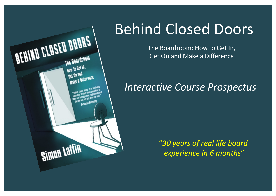

# Behind Closed Doors

The Boardroom: How to Get In, Get On and Make a Difference

# *Interactive Course Prospectus*

"*30 years of real life board experience in 6 months*"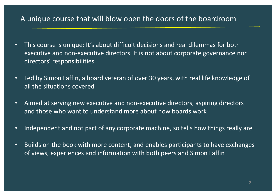# A unique course that will blow open the doors of the boardroom

- This course is unique: It's about difficult decisions and real dilemmas for both executive and non-executive directors. It is not about corporate governance nor directors' responsibilities
- Led by Simon Laffin, a board veteran of over 30 years, with real life knowledge of all the situations covered
- Aimed at serving new executive and non-executive directors, aspiring directors and those who want to understand more about how boards work
- Independent and not part of any corporate machine, so tells how things really are
- Builds on the book with more content, and enables participants to have exchanges of views, experiences and information with both peers and Simon Laffin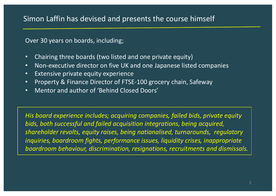Over 30 years on boards, including;

- Chairing three boards (two listed and one private equity)
- Non-executive director on five UK and one Japanese listed companies
- Extensive private equity experience
- Property & Finance Director of FTSE-100 grocery chain, Safeway
- Mentor and author of 'Behind Closed Doors'

*His board experience includes; acquiring companies, failed bids, private equity bids, both successful and failed acquisition integrations, being acquired, shareholder revolts, equity raises, being nationalised, turnarounds, regulatory inquiries, boardroom fights, performance issues, liquidity crises, inappropriate boardroom behaviour, discrimination, resignations, recruitments and dismissals.*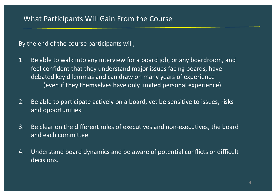# What Participants Will Gain From the Course

By the end of the course participants will;

- 1. Be able to walk into any interview for a board job, or any boardroom, and feel confident that they understand major issues facing boards, have debated key dilemmas and can draw on many years of experience (even if they themselves have only limited personal experience)
- 2. Be able to participate actively on a board, yet be sensitive to issues, risks and opportunities
- 3. Be clear on the different roles of executives and non-executives, the board and each committee
- 4. Understand board dynamics and be aware of potential conflicts or difficult decisions.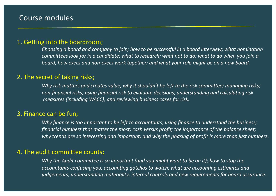# Course modules

#### 1. Getting into the boardroom;

*Choosing a board and company to join; how to be successful in a board interview; what nomination committees look for in a candidate; what to research; what not to do; what to do when you join a board; how execs and non-execs work together; and what your role might be on a new board.* 

#### 2. The secret of taking risks;

*Why risk matters and creates value; why it shouldn't be left to the risk committee; managing risks; non-financial risks; using financial risk to evaluate decisions; understanding and calculating risk measures (including WACC); and reviewing business cases for risk.*

#### 3. Finance can be fun;

*Why finance is too important to be left to accountants; using finance to understand the business; financial numbers that matter the most; cash versus profit; the importance of the balance sheet; why trends are so interesting and important; and why the phasing of profit is more than just numbers.*

#### 4. The audit committee counts;

*Why the Audit committee is so important (and you might want to be on it); how to stop the accountants confusing you; accounting gotchas to watch; what are accounting estimates and judgements; understanding materiality; internal controls and new requirements for board assurance.*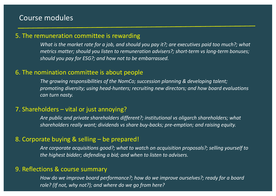## Course modules

### 5. The remuneration committee is rewarding

*What is the market rate for a job, and should you pay it?; are executives paid too much?; what metrics matter; should you listen to remuneration advisers?; short-term vs long-term bonuses; should you pay for ESG?; and how not to be embarrassed.*

#### 6. The nomination committee is about people

*The growing responsibilities of the NomCo; succession planning & developing talent; promoting diversity; using head-hunters; recruiting new directors; and how board evaluations can turn nasty.*

#### 7. Shareholders – vital or just annoying?

*Are public and private shareholders different?; institutional vs oligarch shareholders; what shareholders really want; dividends vs share buy-backs; pre-emption; and raising equity.*

#### 8. Corporate buying & selling – be prepared!

*Are corporate acquisitions good?; what to watch on acquisition proposals?; selling yourself to the highest bidder; defending a bid; and when to listen to advisers.*

#### 9. Reflections & course summary

*How do we improve board performance?; how do we improve ourselves?; ready for a board role? (If not, why not?); and where do we go from here?*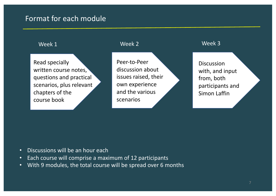# Format for each module

Read specially written course notes, questions and practical scenarios, plus relevant chapters of the course book

### Week 1 Week 2 Week 3

Peer-to-Peer discussion about issues raised, their own experience and the various scenarios

**Discussion** with, and input from, both participants and Simon Laffin

- Discussions will be an hour each
- Each course will comprise a maximum of 12 participants
- With 9 modules, the total course will be spread over 6 months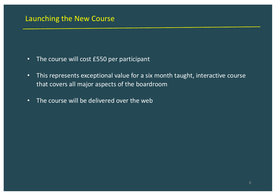# Launching the New Course

- The course will cost £550 per participant
- This represents exceptional value for a six month taught, interactive course that covers all major aspects of the boardroom
- The course will be delivered over the web